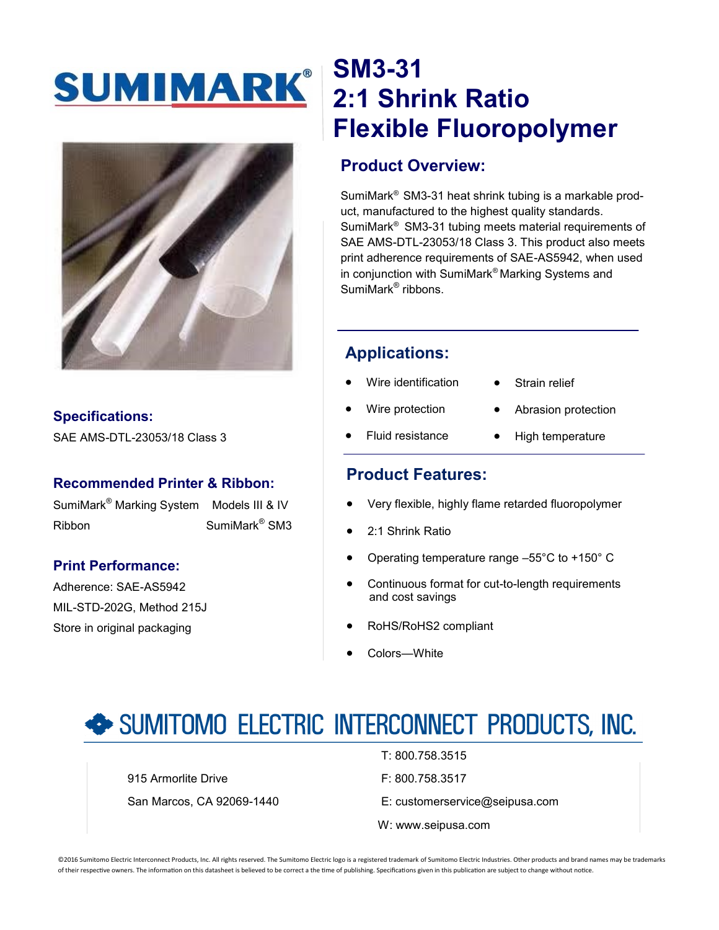# SUMIMARK®



## **Specifications:**

SAE AMS-DTL-23053/18 Class 3

#### **Recommended Printer & Ribbon:**

SumiMark® Marking System Models III & IV Ribbon SumiMark<sup>®</sup> SM3

## **Print Performance:**

Adherence: SAE-AS5942 MIL-STD-202G, Method 215J Store in original packaging

## **SM3-31 2:1 Shrink Ratio Flexible Fluoropolymer**

## **Product Overview:**

SumiMark® SM3-31 heat shrink tubing is a markable product, manufactured to the highest quality standards. SumiMark® SM3-31 tubing meets material requirements of SAE AMS-DTL-23053/18 Class 3. This product also meets print adherence requirements of SAE-AS5942, when used in conjunction with SumiMark® Marking Systems and SumiMark<sup>®</sup> ribbons.

## **Applications:**

- Wire identification
- Strain relief
- Wire protection
- Abrasion protection
- Fluid resistance
- High temperature

## **Product Features:**

- Very flexible, highly flame retarded fluoropolymer
- 2:1 Shrink Ratio
- Operating temperature range –55°C to +150° C
- Continuous format for cut-to-length requirements and cost savings
- RoHS/RoHS2 compliant
- Colors—White

## SUMITOMO ELECTRIC INTERCONNECT PRODUCTS, INC.

915 Armorlite Drive **F: 800.758.3517** 

- T: 800.758.3515
- 
- San Marcos, CA 92069-1440 E: customerservice@seipusa.com
	- W: www.seipusa.com

©2016 Sumitomo Electric Interconnect Products, Inc. All rights reserved. The Sumitomo Electric logo is a registered trademark of Sumitomo Electric Industries. Other products and brand names may be trademarks of their respective owners. The information on this datasheet is believed to be correct a the time of publishing. Specifications given in this publication are subject to change without notice.